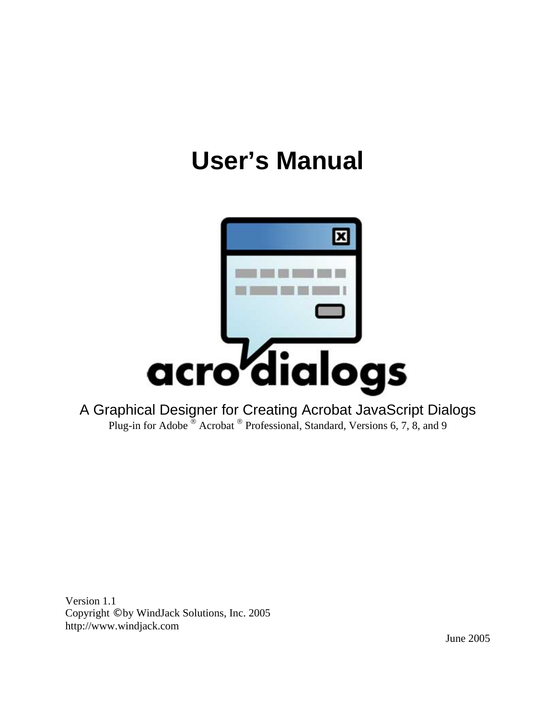# **User's Manual**



A Graphical Designer for Creating Acrobat JavaScript Dialogs Plug-in for Adobe  $^{\circledR}$  Acrobat  $^{\circledR}$  Professional, Standard, Versions 6, 7, 8, and 9

Version 1.1 Copyright © by WindJack Solutions, Inc. 2005 http://www.windjack.com

June 2005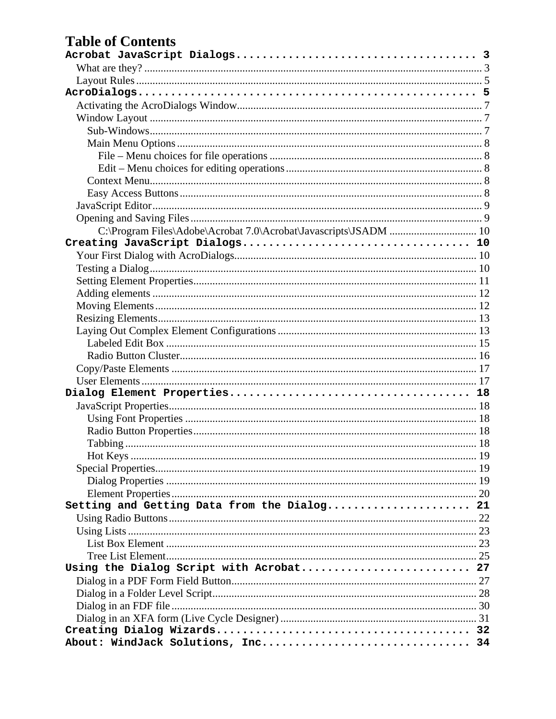### **Table of Contents**

| C:\Program Files\Adobe\Acrobat 7.0\Acrobat\Javascripts\JSADM  10 |  |
|------------------------------------------------------------------|--|
|                                                                  |  |
|                                                                  |  |
|                                                                  |  |
|                                                                  |  |
|                                                                  |  |
|                                                                  |  |
|                                                                  |  |
|                                                                  |  |
|                                                                  |  |
|                                                                  |  |
|                                                                  |  |
|                                                                  |  |
|                                                                  |  |
|                                                                  |  |
|                                                                  |  |
|                                                                  |  |
|                                                                  |  |
|                                                                  |  |
|                                                                  |  |
|                                                                  |  |
|                                                                  |  |
| Setting and Getting Data from the Dialog 21                      |  |
|                                                                  |  |
|                                                                  |  |
|                                                                  |  |
|                                                                  |  |
| Using the Dialog Script with Acrobat 27                          |  |
|                                                                  |  |
|                                                                  |  |
|                                                                  |  |
|                                                                  |  |
|                                                                  |  |
| About: WindJack Solutions, Inc 34                                |  |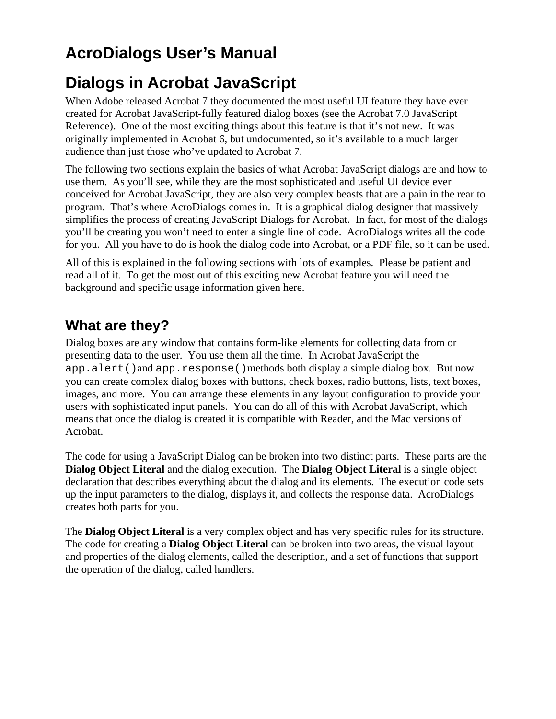# <span id="page-2-0"></span>**AcroDialogs User's Manual**

# **Dialogs in Acrobat JavaScript**

When Adobe released Acrobat 7 they documented the most useful UI feature they have ever created for Acrobat JavaScript-fully featured dialog boxes (see the Acrobat 7.0 JavaScript Reference). One of the most exciting things about this feature is that it's not new. It was originally implemented in Acrobat 6, but undocumented, so it's available to a much larger audience than just those who've updated to Acrobat 7.

The following two sections explain the basics of what Acrobat JavaScript dialogs are and how to use them. As you'll see, while they are the most sophisticated and useful UI device ever conceived for Acrobat JavaScript, they are also very complex beasts that are a pain in the rear to program. That's where AcroDialogs comes in. It is a graphical dialog designer that massively simplifies the process of creating JavaScript Dialogs for Acrobat. In fact, for most of the dialogs you'll be creating you won't need to enter a single line of code. AcroDialogs writes all the code for you. All you have to do is hook the dialog code into Acrobat, or a PDF file, so it can be used.

All of this is explained in the following sections with lots of examples. Please be patient and read all of it. To get the most out of this exciting new Acrobat feature you will need the background and specific usage information given here.

### **What are they?**

Dialog boxes are any window that contains form-like elements for collecting data from or presenting data to the user. You use them all the time. In Acrobat JavaScript the app.alert()and app.response()methods both display a simple dialog box. But now you can create complex dialog boxes with buttons, check boxes, radio buttons, lists, text boxes, images, and more. You can arrange these elements in any layout configuration to provide your users with sophisticated input panels. You can do all of this with Acrobat JavaScript, which means that once the dialog is created it is compatible with Reader, and the Mac versions of Acrobat.

The code for using a JavaScript Dialog can be broken into two distinct parts. These parts are the **Dialog Object Literal** and the dialog execution. The **Dialog Object Literal** is a single object declaration that describes everything about the dialog and its elements. The execution code sets up the input parameters to the dialog, displays it, and collects the response data. AcroDialogs creates both parts for you.

The **Dialog Object Literal** is a very complex object and has very specific rules for its structure. The code for creating a **Dialog Object Literal** can be broken into two areas, the visual layout and properties of the dialog elements, called the description, and a set of functions that support the operation of the dialog, called handlers.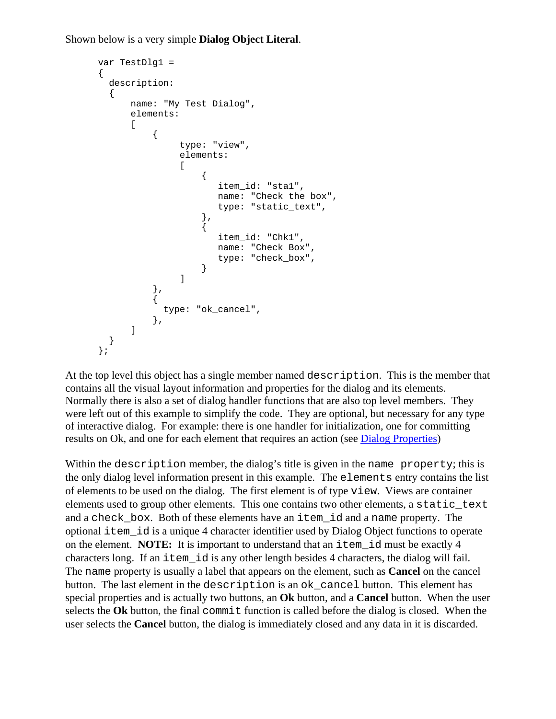Shown below is a very simple **Dialog Object Literal**.

```
var TestDlg1 = 
{ 
   description: 
    { 
         name: "My Test Dialog", 
         elements: 
        \Gamma\{ type: "view", 
                      elements: 
If the contract of the contract of the contract of the contract of the contract of the contract of the contract of the contract of the contract of the contract of the contract of the contract of the contract of the contra
\{ item_id: "sta1", 
                                name: "Check the box", 
                                type: "static_text", 
, and the set of \{ \} , \{ \}\{ item_id: "Chk1", 
                                name: "Check Box", 
                                type: "check_box", 
 } 
 ] 
 }, 
\{ type: "ok_cancel", 
               }, 
         ] 
   } 
};
```
At the top level this object has a single member named description. This is the member that contains all the visual layout information and properties for the dialog and its elements. Normally there is also a set of dialog handler functions that are also top level members. They were left out of this example to simplify the code. They are optional, but necessary for any type of interactive dialog. For example: there is one handler for initialization, one for committing results on Ok, and one for each element that requires an action (see [Dialog Properties\)](#page-18-0)

Within the description member, the dialog's title is given in the name property; this is the only dialog level information present in this example. The elements entry contains the list of elements to be used on the dialog. The first element is of type view. Views are container elements used to group other elements. This one contains two other elements, a static\_text and a check\_box. Both of these elements have an item\_id and a name property. The optional item\_id is a unique 4 character identifier used by Dialog Object functions to operate on the element. **NOTE:** It is important to understand that an item\_id must be exactly 4 characters long. If an item\_id is any other length besides 4 characters, the dialog will fail. The name property is usually a label that appears on the element, such as **Cancel** on the cancel button. The last element in the description is an ok\_cancel button. This element has special properties and is actually two buttons, an **Ok** button, and a **Cancel** button. When the user selects the Ok button, the final commit function is called before the dialog is closed. When the user selects the **Cancel** button, the dialog is immediately closed and any data in it is discarded.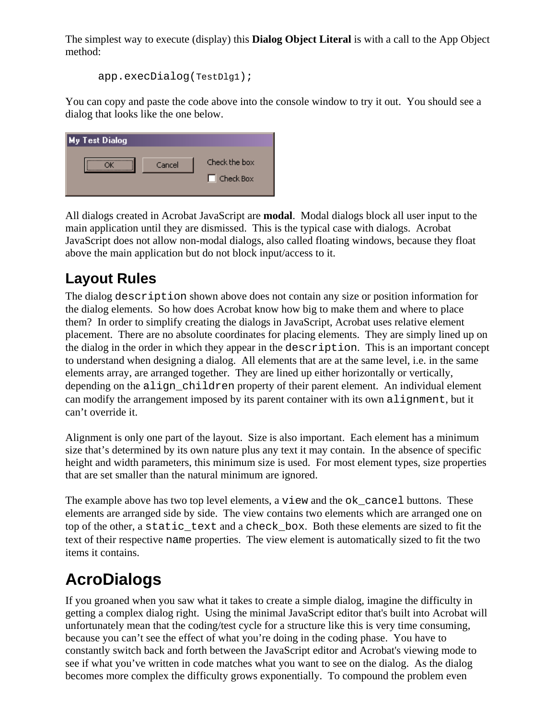<span id="page-4-0"></span>The simplest way to execute (display) this **Dialog Object Literal** is with a call to the App Object method:

```
app.execDialog(TestDlg1);
```
You can copy and paste the code above into the console window to try it out. You should see a dialog that looks like the one below.

| My Test Dialog |        |                  |
|----------------|--------|------------------|
|                | Cancel | Check the box    |
|                |        | $\Box$ Check Box |
|                |        |                  |

All dialogs created in Acrobat JavaScript are **modal**. Modal dialogs block all user input to the main application until they are dismissed. This is the typical case with dialogs. Acrobat JavaScript does not allow non-modal dialogs, also called floating windows, because they float above the main application but do not block input/access to it.

### **Layout Rules**

The dialog description shown above does not contain any size or position information for the dialog elements. So how does Acrobat know how big to make them and where to place them? In order to simplify creating the dialogs in JavaScript, Acrobat uses relative element placement. There are no absolute coordinates for placing elements. They are simply lined up on the dialog in the order in which they appear in the description. This is an important concept to understand when designing a dialog. All elements that are at the same level, i.e. in the same elements array, are arranged together. They are lined up either horizontally or vertically, depending on the align children property of their parent element. An individual element can modify the arrangement imposed by its parent container with its own alignment, but it can't override it.

Alignment is only one part of the layout. Size is also important. Each element has a minimum size that's determined by its own nature plus any text it may contain. In the absence of specific height and width parameters, this minimum size is used. For most element types, size properties that are set smaller than the natural minimum are ignored.

The example above has two top level elements, a view and the  $\alpha$  cancel buttons. These elements are arranged side by side. The view contains two elements which are arranged one on top of the other, a static text and a check box. Both these elements are sized to fit the text of their respective name properties. The view element is automatically sized to fit the two items it contains.

# **AcroDialogs**

If you groaned when you saw what it takes to create a simple dialog, imagine the difficulty in getting a complex dialog right. Using the minimal JavaScript editor that's built into Acrobat will unfortunately mean that the coding/test cycle for a structure like this is very time consuming, because you can't see the effect of what you're doing in the coding phase. You have to constantly switch back and forth between the JavaScript editor and Acrobat's viewing mode to see if what you've written in code matches what you want to see on the dialog. As the dialog becomes more complex the difficulty grows exponentially. To compound the problem even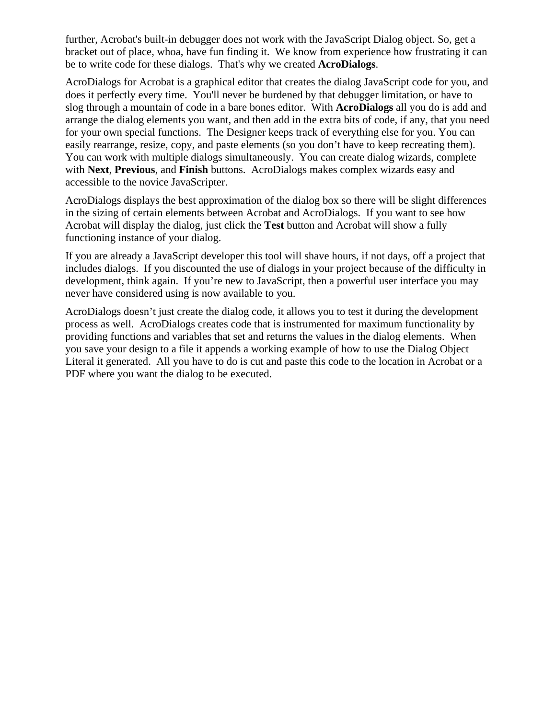further, Acrobat's built-in debugger does not work with the JavaScript Dialog object. So, get a bracket out of place, whoa, have fun finding it. We know from experience how frustrating it can be to write code for these dialogs. That's why we created **AcroDialogs**.

AcroDialogs for Acrobat is a graphical editor that creates the dialog JavaScript code for you, and does it perfectly every time. You'll never be burdened by that debugger limitation, or have to slog through a mountain of code in a bare bones editor. With **AcroDialogs** all you do is add and arrange the dialog elements you want, and then add in the extra bits of code, if any, that you need for your own special functions. The Designer keeps track of everything else for you. You can easily rearrange, resize, copy, and paste elements (so you don't have to keep recreating them). You can work with multiple dialogs simultaneously. You can create dialog wizards, complete with **Next**, **Previous**, and **Finish** buttons. AcroDialogs makes complex wizards easy and accessible to the novice JavaScripter.

AcroDialogs displays the best approximation of the dialog box so there will be slight differences in the sizing of certain elements between Acrobat and AcroDialogs. If you want to see how Acrobat will display the dialog, just click the **Test** button and Acrobat will show a fully functioning instance of your dialog.

If you are already a JavaScript developer this tool will shave hours, if not days, off a project that includes dialogs. If you discounted the use of dialogs in your project because of the difficulty in development, think again. If you're new to JavaScript, then a powerful user interface you may never have considered using is now available to you.

AcroDialogs doesn't just create the dialog code, it allows you to test it during the development process as well. AcroDialogs creates code that is instrumented for maximum functionality by providing functions and variables that set and returns the values in the dialog elements. When you save your design to a file it appends a working example of how to use the Dialog Object Literal it generated. All you have to do is cut and paste this code to the location in Acrobat or a PDF where you want the dialog to be executed.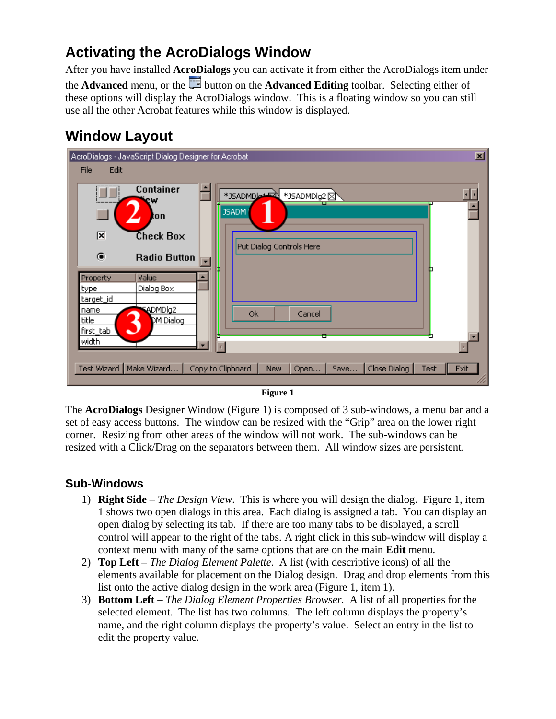#### <span id="page-6-0"></span>**Activating the AcroDialogs Window**

After you have installed **AcroDialogs** you can activate it from either the AcroDialogs item under the **Advanced** menu, or the button on the **Advanced Editing** toolbar. Selecting either of these options will display the AcroDialogs window. This is a floating window so you can still use all the other Acrobat features while this window is displayed.

### **Window Layout**



**Figure 1** 

The **AcroDialogs** Designer Window (Figure 1) is composed of 3 sub-windows, a menu bar and a set of easy access buttons. The window can be resized with the "Grip" area on the lower right corner. Resizing from other areas of the window will not work. The sub-windows can be resized with a Click/Drag on the separators between them. All window sizes are persistent.

#### **Sub-Windows**

- 1) **Right Side** *The Design View*. This is where you will design the dialog. Figure 1, item 1 shows two open dialogs in this area. Each dialog is assigned a tab. You can display an open dialog by selecting its tab. If there are too many tabs to be displayed, a scroll control will appear to the right of the tabs. A right click in this sub-window will display a context menu with many of the same options that are on the main **Edit** menu.
- 2) **Top Left** *The Dialog Element Palette*. A list (with descriptive icons) of all the elements available for placement on the Dialog design. Drag and drop elements from this list onto the active dialog design in the work area (Figure 1, item 1).
- 3) **Bottom Left** *The Dialog Element Properties Browser.* A list of all properties for the selected element. The list has two columns. The left column displays the property's name, and the right column displays the property's value. Select an entry in the list to edit the property value.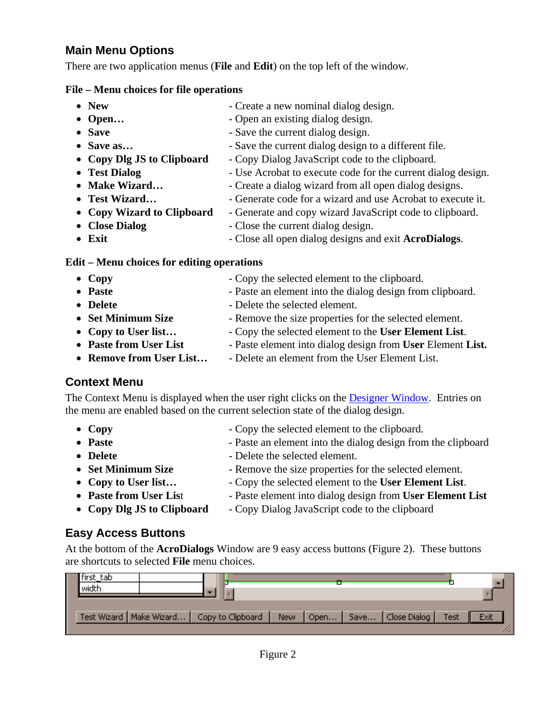#### <span id="page-7-0"></span>**Main Menu Options**

There are two application menus (**File** and **Edit**) on the top left of the window.

#### **File – Menu choices for file operations**

- **New** Create a new nominal dialog design.
- **Open...** Open an existing dialog design.
- **Save Save** the current dialog design.
- **Save as...** Save the current dialog design to a different file.
- **Copy Dlg JS to Clipboard** Copy Dialog JavaScript code to the clipboard.
- **Test Dialog Use Acrobat to execute code for the current dialog design.**
- **Make Wizard...** Create a dialog wizard from all open dialog designs.
- **Test Wizard...** Generate code for a wizard and use Acrobat to execute it.
- **Copy Wizard to Clipboard**  Generate and copy wizard JavaScript code to clipboard.
- 
- **Close Dialog** Close the current dialog design.
- **Exit** Close all open dialog designs and exit **AcroDialogs**.

#### **Edit – Menu choices for editing operations**

- **Copy** Copy the selected element to the clipboard. • **Paste** - Paste an element into the dialog design from clipboard.
- **Delete** Delete the selected element.
- **Set Minimum Size** Remove the size properties for the selected element.
- **Copy to User list…**  Copy the selected element to the **User Element List**.
- **Paste from User List** Paste element into dialog design from User Element List.
- **Remove from User List...** Delete an element from the User Element List.

#### **Context Menu**

The Context Menu is displayed when the user right clicks on the [Designer Window](#page-6-0). Entries on the menu are enabled based on the current selection state of the dialog design.

- **Copy** Copy the selected element to the clipboard.
- **Paste** Paste an element into the dialog design from the clipboard
- 
- **Delete** Delete the selected element.
- **Set Minimum Size** Remove the size properties for the selected element.
- 
- **Copy to User list…** Copy the selected element to the **User Element List**. • **Paste from User List** - Paste element into dialog design from User Element List
- 
- **Copy Dlg JS to Clipboard** Copy Dialog JavaScript code to the clipboard

#### **Easy Access Buttons**

At the bottom of the **AcroDialogs** Window are 9 easy access buttons (Figure 2). These buttons are shortcuts to selected **File** menu choices.

| hirst tab<br>width |                                                                                         |  |  |      |
|--------------------|-----------------------------------------------------------------------------------------|--|--|------|
|                    |                                                                                         |  |  |      |
|                    | Test Wizard   Make Wizard   Copy to Clipboard   New   Open   Save   Close Dialog   Test |  |  | Exit |
|                    |                                                                                         |  |  |      |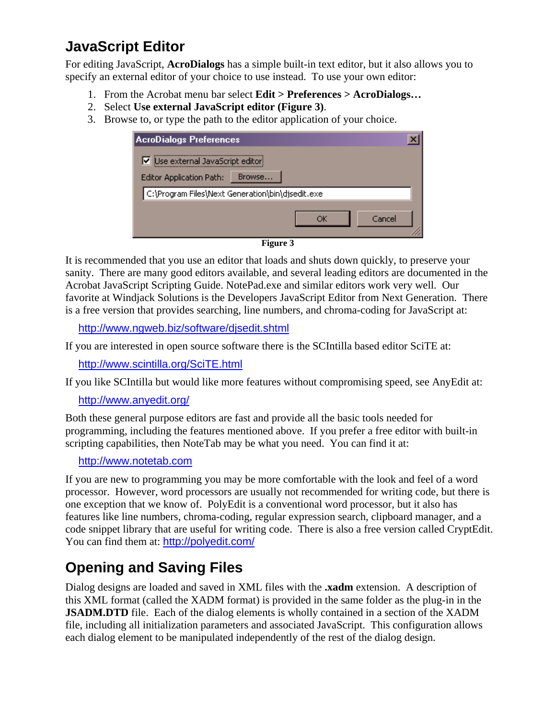### <span id="page-8-0"></span>**JavaScript Editor**

For editing JavaScript, **AcroDialogs** has a simple built-in text editor, but it also allows you to specify an external editor of your choice to use instead. To use your own editor:

- 1. From the Acrobat menu bar select **Edit > Preferences > AcroDialogs…**
- 2. Select **Use external JavaScript editor (Figure 3)**.
- 3. Browse to, or type the path to the editor application of your choice.

| <b>AcroDialogs Preferences</b>                   |  |
|--------------------------------------------------|--|
| Use external JavaScript editor                   |  |
| Browse<br><b>Editor Application Path:</b>        |  |
| C:\Program Files\Next Generation\bin\djsedit.exe |  |
| Cancel                                           |  |
| $\mathbf{E}$ and $\mathbf{E}$                    |  |

**Figure 3** 

It is recommended that you use an editor that loads and shuts down quickly, to preserve your sanity. There are many good editors available, and several leading editors are documented in the Acrobat JavaScript Scripting Guide. NotePad.exe and similar editors work very well. Our favorite at Windjack Solutions is the Developers JavaScript Editor from Next Generation. There is a free version that provides searching, line numbers, and chroma-coding for JavaScript at:

<http://www.ngweb.biz/software/djsedit.shtml>

If you are interested in open source software there is the SCIntilla based editor SciTE at:

<http://www.scintilla.org/SciTE.html>

If you like SCIntilla but would like more features without compromising speed, see AnyEdit at:

<http://www.anyedit.org/>

Both these general purpose editors are fast and provide all the basic tools needed for programming, including the features mentioned above. If you prefer a free editor with built-in scripting capabilities, then NoteTab may be what you need. You can find it at:

#### [http://www.notetab.com](http://www.notetab.com/)

If you are new to programming you may be more comfortable with the look and feel of a word processor. However, word processors are usually not recommended for writing code, but there is one exception that we know of. PolyEdit is a conventional word processor, but it also has features like line numbers, chroma-coding, regular expression search, clipboard manager, and a code snippet library that are useful for writing code. There is also a free version called CryptEdit. You can find them at: <http://polyedit.com/>

### **Opening and Saving Files**

Dialog designs are loaded and saved in XML files with the **.xadm** extension. A description of this XML format (called the XADM format) is provided in the same folder as the plug-in in the **JSADM.DTD** file. Each of the dialog elements is wholly contained in a section of the XADM file, including all initialization parameters and associated JavaScript. This configuration allows each dialog element to be manipulated independently of the rest of the dialog design.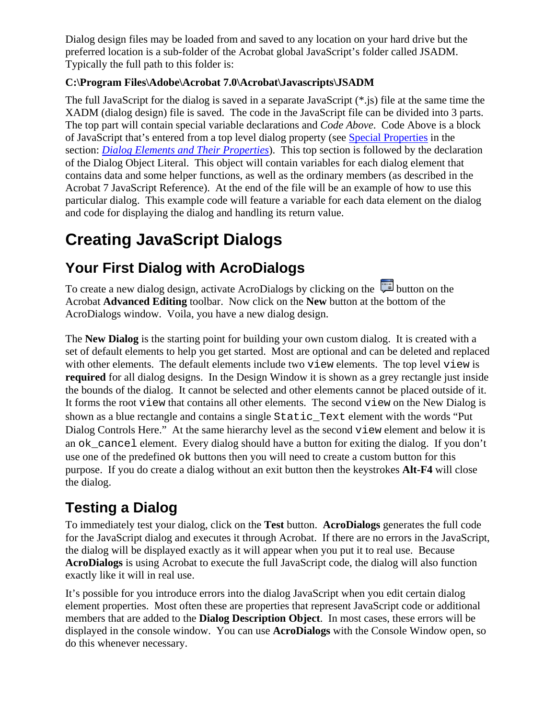<span id="page-9-0"></span>Dialog design files may be loaded from and saved to any location on your hard drive but the preferred location is a sub-folder of the Acrobat global JavaScript's folder called JSADM. Typically the full path to this folder is:

#### **C:\Program Files\Adobe\Acrobat 7.0\Acrobat\Javascripts\JSADM**

The full JavaScript for the dialog is saved in a separate JavaScript (\*.js) file at the same time the XADM (dialog design) file is saved. The code in the JavaScript file can be divided into 3 parts. The top part will contain special variable declarations and *Code Above*. Code Above is a block of JavaScript that's entered from a top level dialog property (see [Special Properties](#page-18-0) in the section: *[Dialog Elements and Their Properties](#page-16-0)*). This top section is followed by the declaration of the Dialog Object Literal. This object will contain variables for each dialog element that contains data and some helper functions, as well as the ordinary members (as described in the Acrobat 7 JavaScript Reference). At the end of the file will be an example of how to use this particular dialog. This example code will feature a variable for each data element on the dialog and code for displaying the dialog and handling its return value.

# **Creating JavaScript Dialogs**

### **Your First Dialog with AcroDialogs**

To create a new dialog design, activate AcroDialogs by clicking on the **button** on the Acrobat **Advanced Editing** toolbar. Now click on the **New** button at the bottom of the AcroDialogs window. Voila, you have a new dialog design.

The **New Dialog** is the starting point for building your own custom dialog. It is created with a set of default elements to help you get started. Most are optional and can be deleted and replaced with other elements. The default elements include two view elements. The top level view is **required** for all dialog designs. In the Design Window it is shown as a grey rectangle just inside the bounds of the dialog. It cannot be selected and other elements cannot be placed outside of it. It forms the root view that contains all other elements. The second view on the New Dialog is shown as a blue rectangle and contains a single Static\_Text element with the words "Put Dialog Controls Here." At the same hierarchy level as the second view element and below it is an ok\_cancel element. Every dialog should have a button for exiting the dialog. If you don't use one of the predefined ok buttons then you will need to create a custom button for this purpose. If you do create a dialog without an exit button then the keystrokes **Alt-F4** will close the dialog.

### **Testing a Dialog**

To immediately test your dialog, click on the **Test** button. **AcroDialogs** generates the full code for the JavaScript dialog and executes it through Acrobat. If there are no errors in the JavaScript, the dialog will be displayed exactly as it will appear when you put it to real use. Because **AcroDialogs** is using Acrobat to execute the full JavaScript code, the dialog will also function exactly like it will in real use.

It's possible for you introduce errors into the dialog JavaScript when you edit certain dialog element properties. Most often these are properties that represent JavaScript code or additional members that are added to the **Dialog Description Object**. In most cases, these errors will be displayed in the console window. You can use **AcroDialogs** with the Console Window open, so do this whenever necessary.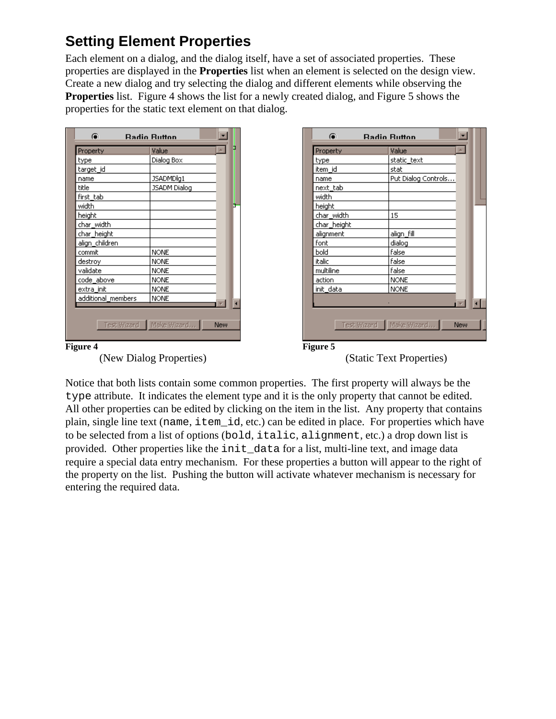### <span id="page-10-0"></span>**Setting Element Properties**

Each element on a dialog, and the dialog itself, have a set of associated properties. These properties are displayed in the **Properties** list when an element is selected on the design view. Create a new dialog and try selecting the dialog and different elements while observing the **Properties** list. Figure 4 shows the list for a newly created dialog, and Figure 5 shows the properties for the static text element on that dialog.

| Property           | Value        |                      | Property    | Value               |
|--------------------|--------------|----------------------|-------------|---------------------|
| type               | Dialog Box   |                      | type        | static_text         |
| target_id          |              |                      | item id     | stat                |
| name               | JSADMDlg1    |                      | name        | Put Dialog Controls |
| title              | JSADM Dialog |                      | next tab    |                     |
| first_tab          |              |                      | width       |                     |
| width              |              | ь                    | height      |                     |
| height             |              |                      | char width  | 15                  |
| char_width         |              |                      | char_height |                     |
| char_height        |              |                      | alignment   | align_fill          |
| align_children     |              |                      | font        | dialog              |
| commit             | <b>NONE</b>  |                      | bold        | false               |
| destroy            | <b>NONE</b>  |                      | italic      | false               |
| validate           | <b>NONE</b>  |                      | multiline   | false               |
| code_above         | <b>NONE</b>  |                      | action      | <b>NONE</b>         |
| extra init         | <b>NONE</b>  |                      | init data   | <b>NONE</b>         |
| additional members | <b>NONE</b>  | $\overline{\bullet}$ |             |                     |



(Static Text Properties)

Notice that both lists contain some common properties. The first property will always be the type attribute. It indicates the element type and it is the only property that cannot be edited. All other properties can be edited by clicking on the item in the list. Any property that contains plain, single line text (name, item\_id, etc.) can be edited in place. For properties which have to be selected from a list of options (bold, italic, alignment, etc.) a drop down list is provided. Other properties like the init\_data for a list, multi-line text, and image data require a special data entry mechanism. For these properties a button will appear to the right of the property on the list. Pushing the button will activate whatever mechanism is necessary for entering the required data.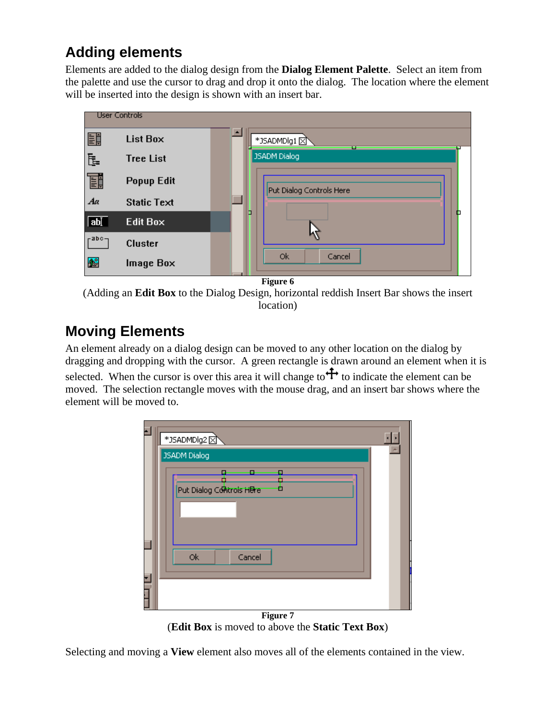### <span id="page-11-0"></span>**Adding elements**

Elements are added to the dialog design from the **Dialog Element Palette**. Select an item from the palette and use the cursor to drag and drop it onto the dialog. The location where the element will be inserted into the design is shown with an insert bar.



**Figure 6** 

(Adding an **Edit Box** to the Dialog Design, horizontal reddish Insert Bar shows the insert location)

### **Moving Elements**

An element already on a dialog design can be moved to any other location on the dialog by dragging and dropping with the cursor. A green rectangle is drawn around an element when it is selected. When the cursor is over this area it will change to  $\uparrow$  to indicate the element can be moved. The selection rectangle moves with the mouse drag, and an insert bar shows where the element will be moved to.

| *JSADMDlg2                                             |   |
|--------------------------------------------------------|---|
| <b>JSADM Dialog</b>                                    | ۸ |
| Ω<br>о<br>п<br>ò<br>п<br>Put Dialog Controls HBre<br>о |   |
| 0k<br>Cancel                                           |   |
| Figure 7                                               |   |

(**Edit Box** is moved to above the **Static Text Box**)

Selecting and moving a **View** element also moves all of the elements contained in the view.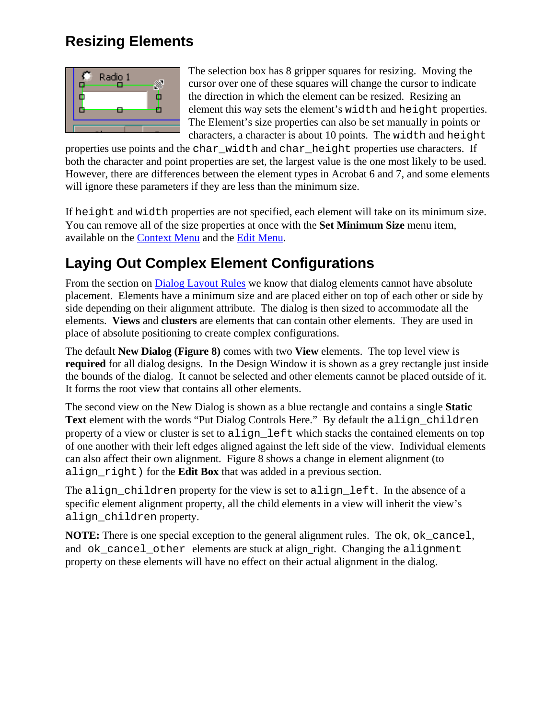#### <span id="page-12-0"></span>**Resizing Elements**



The selection box has 8 gripper squares for resizing. Moving the cursor over one of these squares will change the cursor to indicate the direction in which the element can be resized. Resizing an element this way sets the element's width and height properties. The Element's size properties can also be set manually in points or characters, a character is about 10 points. The width and height

properties use points and the char\_width and char\_height properties use characters. If both the character and point properties are set, the largest value is the one most likely to be used. However, there are differences between the element types in Acrobat 6 and 7, and some elements will ignore these parameters if they are less than the minimum size.

If height and width properties are not specified, each element will take on its minimum size. You can remove all of the size properties at once with the **Set Minimum Size** menu item, available on the [Context Menu](#page-7-0) and the [Edit Menu](#page-7-0).

### **Laying Out Complex Element Configurations**

From the section on [Dialog Layout Rules](#page-4-0) we know that dialog elements cannot have absolute placement. Elements have a minimum size and are placed either on top of each other or side by side depending on their alignment attribute. The dialog is then sized to accommodate all the elements. **Views** and **clusters** are elements that can contain other elements. They are used in place of absolute positioning to create complex configurations.

The default **New Dialog (Figure 8)** comes with two **View** elements. The top level view is **required** for all dialog designs. In the Design Window it is shown as a grey rectangle just inside the bounds of the dialog. It cannot be selected and other elements cannot be placed outside of it. It forms the root view that contains all other elements.

The second view on the New Dialog is shown as a blue rectangle and contains a single **Static Text** element with the words "Put Dialog Controls Here." By default the align\_children property of a view or cluster is set to align left which stacks the contained elements on top of one another with their left edges aligned against the left side of the view. Individual elements can also affect their own alignment. Figure 8 shows a change in element alignment (to align\_right) for the **Edit Box** that was added in a previous section.

The align\_children property for the view is set to align\_left. In the absence of a specific element alignment property, all the child elements in a view will inherit the view's align\_children property.

**NOTE:** There is one special exception to the general alignment rules. The ok, ok\_cancel, and ok\_cancel\_other elements are stuck at align\_right. Changing the alignment property on these elements will have no effect on their actual alignment in the dialog.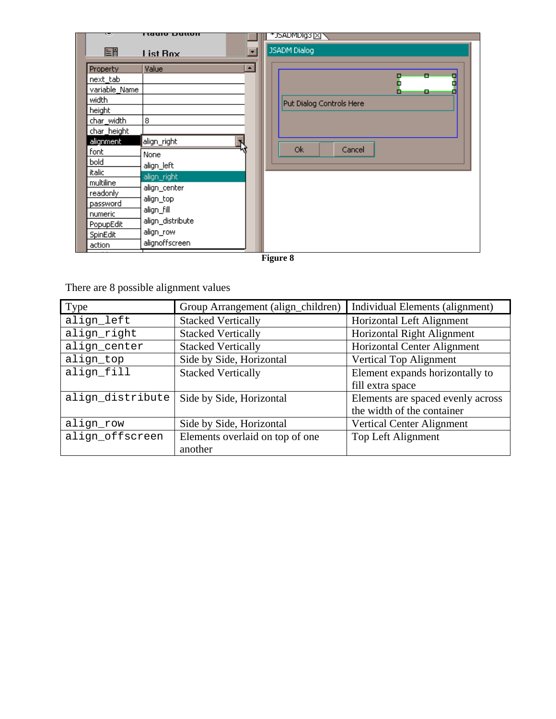|                 | i taalo Dattoll                      |                          |  |
|-----------------|--------------------------------------|--------------------------|--|
| EĦ              | $\overline{\phantom{0}}$<br>List Box | JSADM Dialog             |  |
| <b>Property</b> | $\blacktriangle$<br>Value            | п<br>п                   |  |
| next_tab        |                                      | P<br>Ŧ<br>П              |  |
| variable_Name   |                                      | o<br>۰<br>Ξ              |  |
| width           |                                      | Put Dialog Controls Here |  |
| height          |                                      |                          |  |
| char_width      | 8                                    |                          |  |
| char_height     |                                      |                          |  |
| alignment       | align_right                          |                          |  |
| font            | None                                 | Ok.<br>Cancel            |  |
| bold            | align_left                           |                          |  |
| italic          | align_right                          |                          |  |
| multiline       | align_center                         |                          |  |
| readonly        | align_top                            |                          |  |
| password        | align_fill                           |                          |  |
| numeric         | align_distribute                     |                          |  |
| PopupEdit       |                                      |                          |  |
| SpinEdit        | align_row                            |                          |  |
| action          | alignoffscreen                       |                          |  |

**Figure 8** 

There are 8 possible alignment values

| Type             | Group Arrangement (align_children) | Individual Elements (alignment)    |
|------------------|------------------------------------|------------------------------------|
| align_left       | <b>Stacked Vertically</b>          | Horizontal Left Alignment          |
| align_right      | <b>Stacked Vertically</b>          | Horizontal Right Alignment         |
| align_center     | <b>Stacked Vertically</b>          | <b>Horizontal Center Alignment</b> |
| align_top        | Side by Side, Horizontal           | Vertical Top Alignment             |
| align_fill       | <b>Stacked Vertically</b>          | Element expands horizontally to    |
|                  |                                    | fill extra space                   |
| align_distribute | Side by Side, Horizontal           | Elements are spaced evenly across  |
|                  |                                    | the width of the container         |
| align_row        | Side by Side, Horizontal           | <b>Vertical Center Alignment</b>   |
| align_offscreen  | Elements overlaid on top of one    | Top Left Alignment                 |
|                  | another                            |                                    |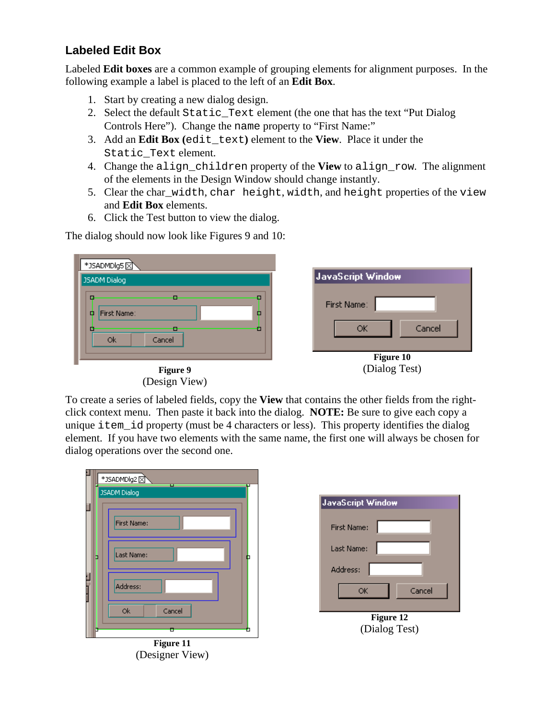#### <span id="page-14-0"></span>**Labeled Edit Box**

Labeled **Edit boxes** are a common example of grouping elements for alignment purposes. In the following example a label is placed to the left of an **Edit Box**.

- 1. Start by creating a new dialog design.
- 2. Select the default Static\_Text element (the one that has the text "Put Dialog Controls Here"). Change the name property to "First Name:"
- 3. Add an **Edit Box (**edit\_text**)** element to the **View**. Place it under the Static\_Text element.
- 4. Change the align\_children property of the **View** to align\_row. The alignment of the elements in the Design Window should change instantly.
- 5. Clear the char\_width, char height, width, and height properties of the view and **Edit Box** elements.
- 6. Click the Test button to view the dialog.

The dialog should now look like Figures 9 and 10:

| *JSADMDlg5                                                       |                                   |
|------------------------------------------------------------------|-----------------------------------|
| <b>JSADM Dialog</b>                                              | JavaScript Window                 |
| □<br>п<br><b>First Name:</b><br>□<br>o<br>о<br>о<br>Cancel<br>0k | First Name:<br>Cancel<br>ОК       |
| ш<br>Figure 9                                                    | <b>Figure 10</b><br>(Dialog Test) |
| (Design View)                                                    |                                   |

To create a series of labeled fields, copy the **View** that contains the other fields from the rightclick context menu. Then paste it back into the dialog. **NOTE:** Be sure to give each copy a unique item\_id property (must be 4 characters or less). This property identifies the dialog element. If you have two elements with the same name, the first one will always be chosen for dialog operations over the second one.



| JavaScript Window  |  |  |
|--------------------|--|--|
| <b>First Name:</b> |  |  |
| Last Name:         |  |  |
| Address:           |  |  |
| Cancel<br>OK       |  |  |
|                    |  |  |
| Figure 12          |  |  |
| (Dialog Test)      |  |  |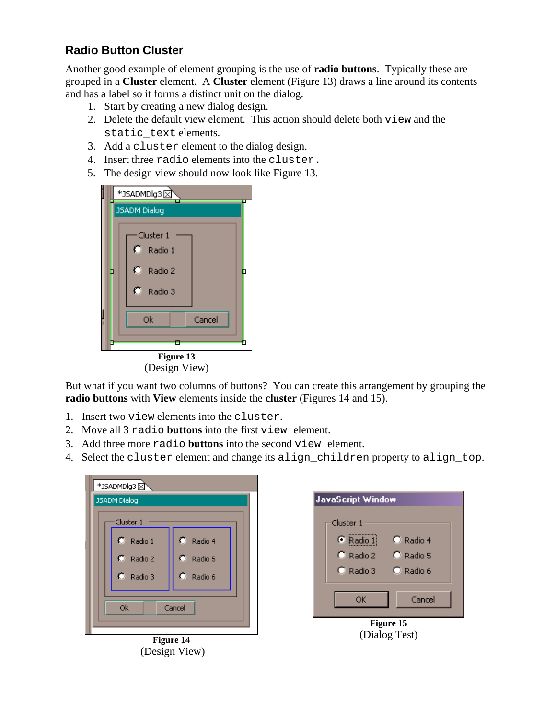#### <span id="page-15-0"></span>**Radio Button Cluster**

Another good example of element grouping is the use of **radio buttons**. Typically these are grouped in a **Cluster** element. A **Cluster** element (Figure 13) draws a line around its contents and has a label so it forms a distinct unit on the dialog.

- 1. Start by creating a new dialog design.
- 2. Delete the default view element. This action should delete both view and the static\_text elements.
- 3. Add a cluster element to the dialog design.
- 4. Insert three radio elements into the cluster.
- 5. The design view should now look like Figure 13.

|                            | *JSADMDlg3          |                                                   |  |  |  |  |
|----------------------------|---------------------|---------------------------------------------------|--|--|--|--|
|                            | <b>JSADM Dialog</b> |                                                   |  |  |  |  |
|                            |                     | ∙Cluster 1<br>C Radio 1<br>C Radio 2<br>C Radio 3 |  |  |  |  |
|                            | Ok<br>Cancel        |                                                   |  |  |  |  |
|                            |                     |                                                   |  |  |  |  |
| Figure 13<br>(Design View) |                     |                                                   |  |  |  |  |

But what if you want two columns of buttons? You can create this arrangement by grouping the **radio buttons** with **View** elements inside the **cluster** (Figures 14 and 15).

- 1. Insert two view elements into the cluster.
- 2. Move all 3 radio **buttons** into the first view element.
- 3. Add three more radio **buttons** into the second view element.
- 4. Select the cluster element and change its align\_children property to align\_top.



**Figure 14**  (Design View)

| JavaScript Window |           |  |  |  |
|-------------------|-----------|--|--|--|
| Cluster 1         |           |  |  |  |
| $\bullet$ Radio 1 | C Radio 4 |  |  |  |
| C Radio 2         | C Radio 5 |  |  |  |
| C Radio 3         | C Radio 6 |  |  |  |
|                   |           |  |  |  |
| Cancel<br>ОК      |           |  |  |  |
| <b>Figure 15</b>  |           |  |  |  |

(Dialog Test)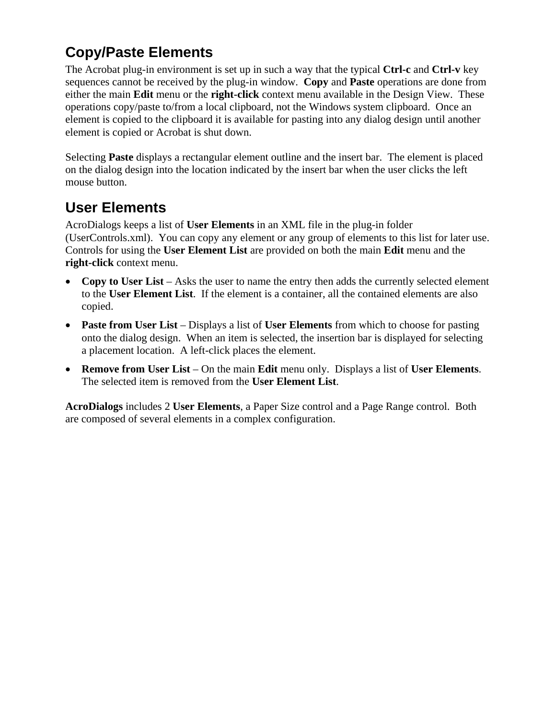### <span id="page-16-0"></span>**Copy/Paste Elements**

The Acrobat plug-in environment is set up in such a way that the typical **Ctrl-c** and **Ctrl-v** key sequences cannot be received by the plug-in window. **Copy** and **Paste** operations are done from either the main **Edit** menu or the **right-click** context menu available in the Design View. These operations copy/paste to/from a local clipboard, not the Windows system clipboard. Once an element is copied to the clipboard it is available for pasting into any dialog design until another element is copied or Acrobat is shut down.

Selecting **Paste** displays a rectangular element outline and the insert bar. The element is placed on the dialog design into the location indicated by the insert bar when the user clicks the left mouse button.

### **User Elements**

AcroDialogs keeps a list of **User Elements** in an XML file in the plug-in folder (UserControls.xml). You can copy any element or any group of elements to this list for later use. Controls for using the **User Element List** are provided on both the main **Edit** menu and the **right-click** context menu.

- Copy to User List Asks the user to name the entry then adds the currently selected element to the **User Element List**. If the element is a container, all the contained elements are also copied.
- **Paste from User List** Displays a list of **User Elements** from which to choose for pasting onto the dialog design. When an item is selected, the insertion bar is displayed for selecting a placement location. A left-click places the element.
- **Remove from User List** On the main **Edit** menu only. Displays a list of User Elements. The selected item is removed from the **User Element List**.

**AcroDialogs** includes 2 **User Elements**, a Paper Size control and a Page Range control. Both are composed of several elements in a complex configuration.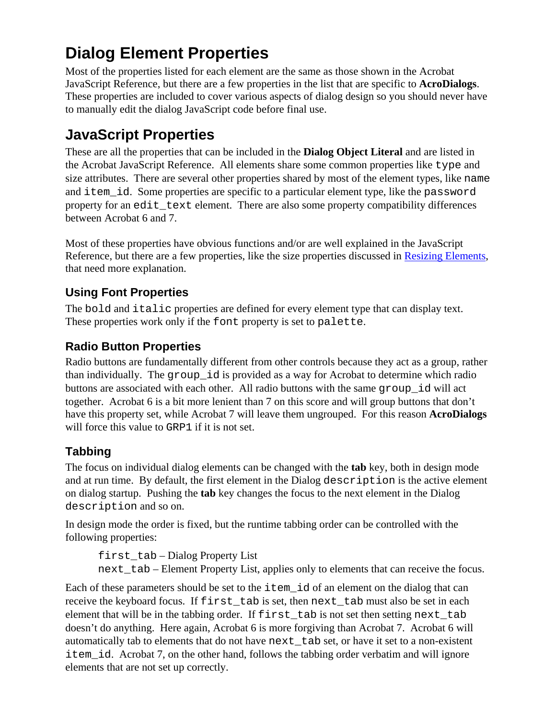# <span id="page-17-0"></span>**Dialog Element Properties**

Most of the properties listed for each element are the same as those shown in the Acrobat JavaScript Reference, but there are a few properties in the list that are specific to **AcroDialogs**. These properties are included to cover various aspects of dialog design so you should never have to manually edit the dialog JavaScript code before final use.

### **JavaScript Properties**

These are all the properties that can be included in the **Dialog Object Literal** and are listed in the Acrobat JavaScript Reference. All elements share some common properties like type and size attributes. There are several other properties shared by most of the element types, like name and item id. Some properties are specific to a particular element type, like the password property for an edit\_text element. There are also some property compatibility differences between Acrobat 6 and 7.

Most of these properties have obvious functions and/or are well explained in the JavaScript Reference, but there are a few properties, like the size properties discussed in [Resizing Elements](#page-12-0), that need more explanation.

#### **Using Font Properties**

The bold and italic properties are defined for every element type that can display text. These properties work only if the font property is set to palette.

#### **Radio Button Properties**

Radio buttons are fundamentally different from other controls because they act as a group, rather than individually. The group\_id is provided as a way for Acrobat to determine which radio buttons are associated with each other. All radio buttons with the same group\_id will act together. Acrobat 6 is a bit more lenient than 7 on this score and will group buttons that don't have this property set, while Acrobat 7 will leave them ungrouped. For this reason **AcroDialogs** will force this value to GRP1 if it is not set.

#### **Tabbing**

The focus on individual dialog elements can be changed with the **tab** key, both in design mode and at run time. By default, the first element in the Dialog description is the active element on dialog startup. Pushing the **tab** key changes the focus to the next element in the Dialog description and so on.

In design mode the order is fixed, but the runtime tabbing order can be controlled with the following properties:

first\_tab – Dialog Property List next\_tab – Element Property List, applies only to elements that can receive the focus.

Each of these parameters should be set to the item\_id of an element on the dialog that can receive the keyboard focus. If first\_tab is set, then next\_tab must also be set in each element that will be in the tabbing order. If first tab is not set then setting next tab doesn't do anything. Here again, Acrobat 6 is more forgiving than Acrobat 7. Acrobat 6 will automatically tab to elements that do not have next\_tab set, or have it set to a non-existent item id. Acrobat 7, on the other hand, follows the tabbing order verbatim and will ignore elements that are not set up correctly.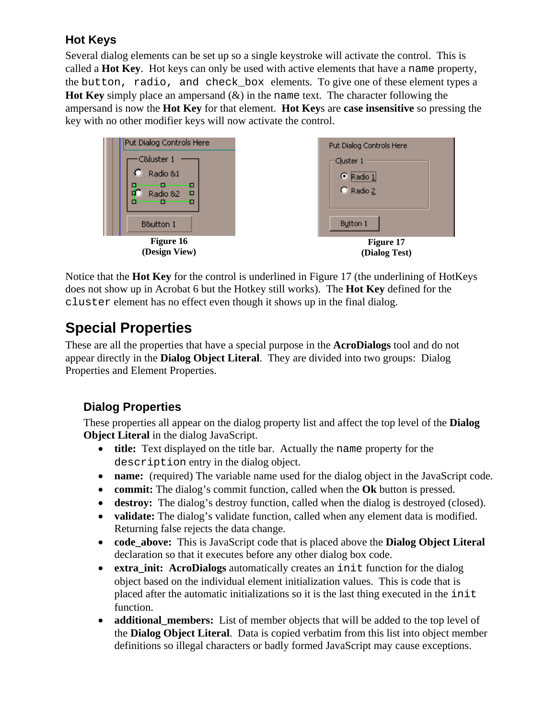#### <span id="page-18-0"></span>**Hot Keys**

Several dialog elements can be set up so a single keystroke will activate the control. This is called a **Hot Key**. Hot keys can only be used with active elements that have a name property, the button, radio, and check\_box elements. To give one of these element types a **Hot Key** simply place an ampersand (&) in the name text. The character following the ampersand is now the **Hot Key** for that element. **Hot Key**s are **case insensitive** so pressing the key with no other modifier keys will now activate the control.



Notice that the **Hot Key** for the control is underlined in Figure 17 (the underlining of HotKeys does not show up in Acrobat 6 but the Hotkey still works). The **Hot Key** defined for the cluster element has no effect even though it shows up in the final dialog.

### **Special Properties**

These are all the properties that have a special purpose in the **AcroDialogs** tool and do not appear directly in the **Dialog Object Literal**. They are divided into two groups: Dialog Properties and Element Properties.

#### **Dialog Properties**

These properties all appear on the dialog property list and affect the top level of the **Dialog Object Literal** in the dialog JavaScript.

- **title:** Text displayed on the title bar. Actually the name property for the description entry in the dialog object.
- **name:** (required) The variable name used for the dialog object in the JavaScript code.
- **commit:** The dialog's commit function, called when the **Ok** button is pressed.
- **destroy:** The dialog's destroy function, called when the dialog is destroyed (closed).
- **validate:** The dialog's validate function, called when any element data is modified. Returning false rejects the data change.
- **code above:** This is JavaScript code that is placed above the **Dialog Object Literal** declaration so that it executes before any other dialog box code.
- **extra init: AcroDialogs** automatically creates an init function for the dialog object based on the individual element initialization values. This is code that is placed after the automatic initializations so it is the last thing executed in the init function.
- **additional members:** List of member objects that will be added to the top level of the **Dialog Object Literal**. Data is copied verbatim from this list into object member definitions so illegal characters or badly formed JavaScript may cause exceptions.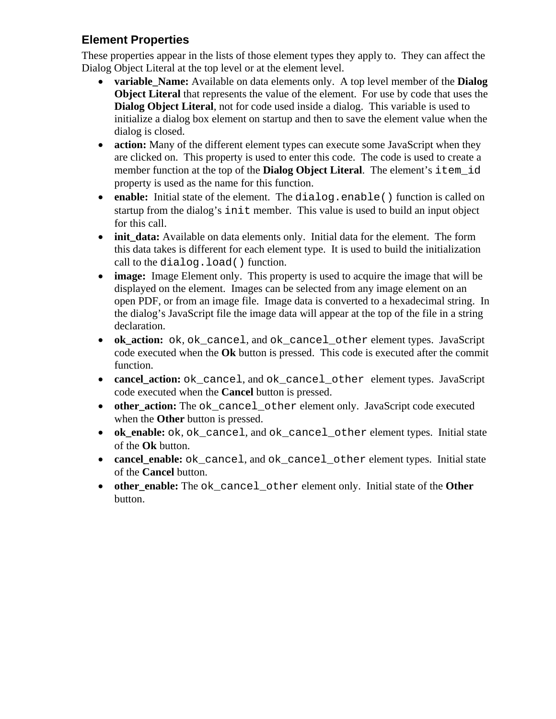#### <span id="page-19-0"></span>**Element Properties**

These properties appear in the lists of those element types they apply to. They can affect the Dialog Object Literal at the top level or at the element level.

- **variable Name:** Available on data elements only. A top level member of the **Dialog Object Literal** that represents the value of the element. For use by code that uses the **Dialog Object Literal**, not for code used inside a dialog. This variable is used to initialize a dialog box element on startup and then to save the element value when the dialog is closed.
- **action:** Many of the different element types can execute some JavaScript when they are clicked on. This property is used to enter this code. The code is used to create a member function at the top of the **Dialog Object Literal**. The element's item\_id property is used as the name for this function.
- **enable:** Initial state of the element. The dialog.enable() function is called on startup from the dialog's init member. This value is used to build an input object for this call.
- **init data:** Available on data elements only. Initial data for the element. The form this data takes is different for each element type. It is used to build the initialization call to the dialog.load() function.
- **image:** Image Element only. This property is used to acquire the image that will be displayed on the element. Images can be selected from any image element on an open PDF, or from an image file. Image data is converted to a hexadecimal string. In the dialog's JavaScript file the image data will appear at the top of the file in a string declaration.
- **ok\_action:** ok, ok\_cancel, and ok\_cancel\_other element types. JavaScript code executed when the **Ok** button is pressed. This code is executed after the commit function.
- **cancel\_action:** ok\_cancel, and ok\_cancel\_other element types. JavaScript code executed when the **Cancel** button is pressed.
- **other action:** The ok cancel other element only. JavaScript code executed when the **Other** button is pressed.
- **ok\_enable:** ok, ok\_cancel, and ok\_cancel\_other element types. Initial state of the **Ok** button.
- **cancel\_enable:** ok\_cancel, and ok\_cancel\_other element types. Initial state of the **Cancel** button.
- **other enable:** The ok cancel other element only. Initial state of the Other button.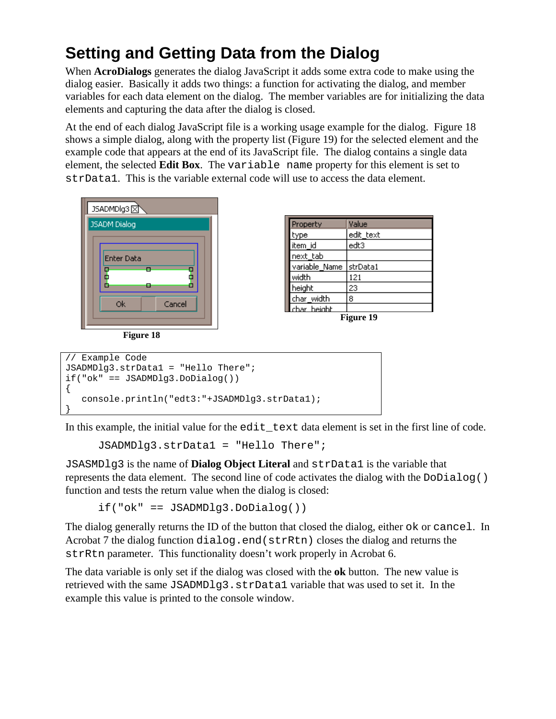# <span id="page-20-0"></span>**Setting and Getting Data from the Dialog**

When **AcroDialogs** generates the dialog JavaScript it adds some extra code to make using the dialog easier. Basically it adds two things: a function for activating the dialog, and member variables for each data element on the dialog. The member variables are for initializing the data elements and capturing the data after the dialog is closed.

At the end of each dialog JavaScript file is a working usage example for the dialog. Figure 18 shows a simple dialog, along with the property list (Figure 19) for the selected element and the example code that appears at the end of its JavaScript file. The dialog contains a single data element, the selected **Edit Box**. The variable name property for this element is set to strData1. This is the variable external code will use to access the data element.



**Figure 18** 

|  | Property      | Value     |
|--|---------------|-----------|
|  | type          | edit_text |
|  | item id       | edt3      |
|  | next tab      |           |
|  | variable_Name | strData1  |
|  | width         | 121       |
|  | height        | 23        |
|  | char_width    | 8         |
|  | char height.  |           |



```
// Example Code 
JSADMDlg3.strData1 = "Hello There"; 
if("ok" == JSADMDlg3.DoDialog()) 
{ 
    console.println("edt3:"+JSADMDlg3.strData1); 
}
```
In this example, the initial value for the edit\_text data element is set in the first line of code.

```
JSADMDlg3.strData1 = "Hello There";
```
JSASMDlg3 is the name of **Dialog Object Literal** and strData1 is the variable that represents the data element. The second line of code activates the dialog with the DoDialog() function and tests the return value when the dialog is closed:

if("ok" == JSADMDlg3.DoDialog())

The dialog generally returns the ID of the button that closed the dialog, either ok or cancel. In Acrobat 7 the dialog function dialog.end(strRtn) closes the dialog and returns the strRtn parameter. This functionality doesn't work properly in Acrobat 6.

The data variable is only set if the dialog was closed with the **ok** button. The new value is retrieved with the same JSADMDlg3.strData1 variable that was used to set it. In the example this value is printed to the console window.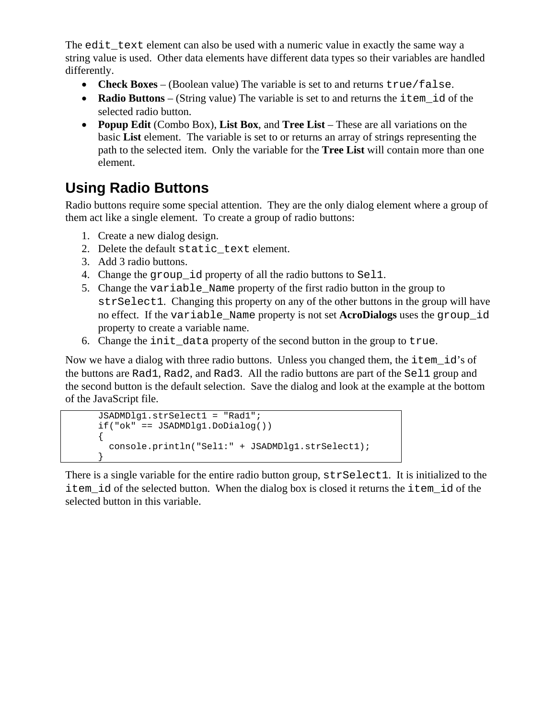<span id="page-21-0"></span>The edit text element can also be used with a numeric value in exactly the same way a string value is used. Other data elements have different data types so their variables are handled differently.

- **Check Boxes** (Boolean value) The variable is set to and returns true/false.
- **Radio Buttons** (String value) The variable is set to and returns the item id of the selected radio button.
- **Popup Edit** (Combo Box), **List Box**, and **Tree List** These are all variations on the basic **List** element. The variable is set to or returns an array of strings representing the path to the selected item. Only the variable for the **Tree List** will contain more than one element.

### **Using Radio Buttons**

Radio buttons require some special attention. They are the only dialog element where a group of them act like a single element. To create a group of radio buttons:

- 1. Create a new dialog design.
- 2. Delete the default static text element.
- 3. Add 3 radio buttons.
- 4. Change the group\_id property of all the radio buttons to Sel1.
- 5. Change the variable\_Name property of the first radio button in the group to strSelect1. Changing this property on any of the other buttons in the group will have no effect. If the variable\_Name property is not set **AcroDialogs** uses the group\_id property to create a variable name.
- 6. Change the init\_data property of the second button in the group to true.

Now we have a dialog with three radio buttons. Unless you changed them, the item\_id's of the buttons are Rad1, Rad2, and Rad3. All the radio buttons are part of the Sel1 group and the second button is the default selection. Save the dialog and look at the example at the bottom of the JavaScript file.

```
JSADMDlg1.strSelect1 = "Rad1"; 
if("ok" == JSADMDlg1.DoDialog()) 
{ 
   console.println("Sel1:" + JSADMDlg1.strSelect1); 
}
```
There is a single variable for the entire radio button group,  $strSelect1$ . It is initialized to the item\_id of the selected button. When the dialog box is closed it returns the item\_id of the selected button in this variable.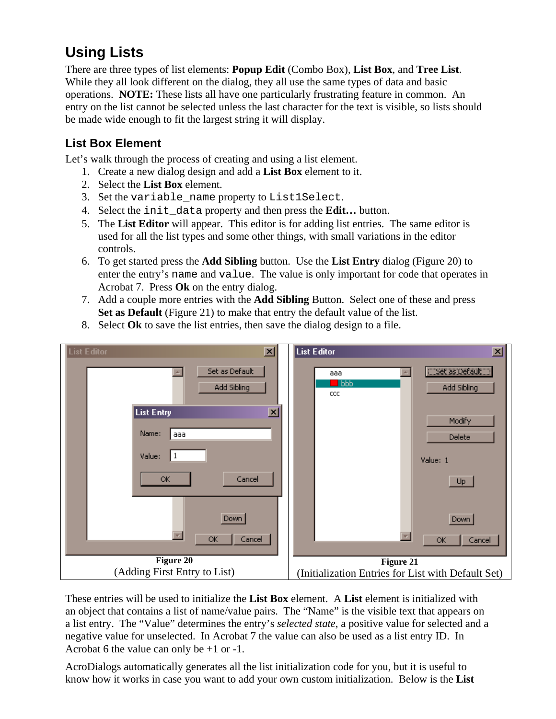### <span id="page-22-0"></span>**Using Lists**

There are three types of list elements: **Popup Edit** (Combo Box), **List Box**, and **Tree List**. While they all look different on the dialog, they all use the same types of data and basic operations. **NOTE:** These lists all have one particularly frustrating feature in common. An entry on the list cannot be selected unless the last character for the text is visible, so lists should be made wide enough to fit the largest string it will display.

#### **List Box Element**

Let's walk through the process of creating and using a list element.

- 1. Create a new dialog design and add a **List Box** element to it.
- 2. Select the **List Box** element.
- 3. Set the variable\_name property to List1Select.
- 4. Select the init\_data property and then press the **Edit…** button.
- 5. The **List Editor** will appear. This editor is for adding list entries. The same editor is used for all the list types and some other things, with small variations in the editor controls.
- 6. To get started press the **Add Sibling** button. Use the **List Entry** dialog (Figure 20) to enter the entry's name and value. The value is only important for code that operates in Acrobat 7. Press **Ok** on the entry dialog.
- 7. Add a couple more entries with the **Add Sibling** Button. Select one of these and press **Set as Default** (Figure 21) to make that entry the default value of the list.
- 8. Select **Ok** to save the list entries, then save the dialog design to a file.



These entries will be used to initialize the **List Box** element. A **List** element is initialized with an object that contains a list of name/value pairs. The "Name" is the visible text that appears on a list entry. The "Value" determines the entry's *selected state*, a positive value for selected and a negative value for unselected. In Acrobat 7 the value can also be used as a list entry ID. In Acrobat 6 the value can only be +1 or -1.

AcroDialogs automatically generates all the list initialization code for you, but it is useful to know how it works in case you want to add your own custom initialization. Below is the **List**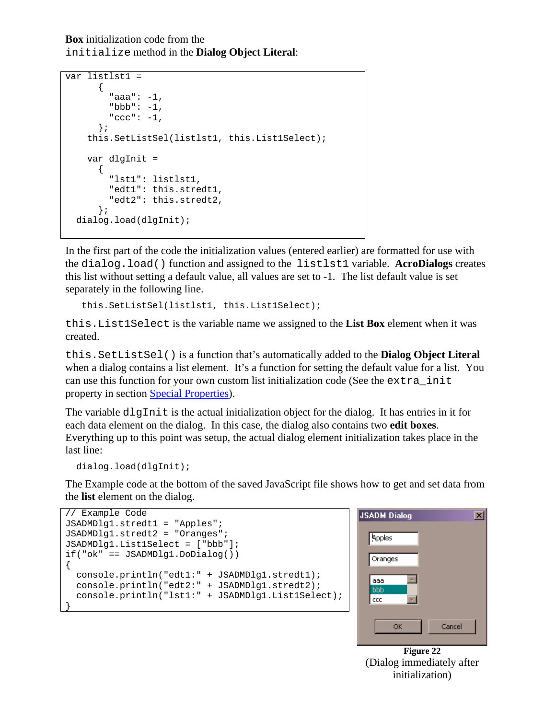**Box** initialization code from the initialize method in the **Dialog Object Literal**:

```
var listlst1 = 
      \{ "aaa": -1, 
         "bbb": -1,
         "ccc" : -1, }; 
     this.SetListSel(listlst1, this.List1Select); 
     var dlgInit = 
       { 
          "lst1": listlst1, 
          "edt1": this.stredt1, 
          "edt2": this.stredt2, 
       }; 
  dialog.load(dlgInit);
```
In the first part of the code the initialization values (entered earlier) are formatted for use with the dialog.load() function and assigned to the listlst1 variable. **AcroDialogs** creates this list without setting a default value, all values are set to -1. The list default value is set separately in the following line.

```
this.SetListSel(listlst1, this.List1Select);
```
this.List1Select is the variable name we assigned to the **List Box** element when it was created.

this.SetListSel() is a function that's automatically added to the **Dialog Object Literal** when a dialog contains a list element. It's a function for setting the default value for a list. You can use this function for your own custom list initialization code (See the extra init property in section [Special Properties\)](#page-18-0).

The variable dlgInit is the actual initialization object for the dialog. It has entries in it for each data element on the dialog. In this case, the dialog also contains two **edit boxes**. Everything up to this point was setup, the actual dialog element initialization takes place in the last line:

```
dialog.load(dlgInit);
```
The Example code at the bottom of the saved JavaScript file shows how to get and set data from the **list** element on the dialog.

```
// Example Code 
JSADMDlg1.stredt1 = "Apples"; 
JSADMDlg1.stredt2 = "Oranges"; 
JSADMDlg1.List1Select = ["bbb"]; 
if("ok" == JSADMDlg1.DoDialog()) 
{ 
   console.println("edt1:" + JSADMDlg1.stredt1); 
   console.println("edt2:" + JSADMDlg1.stredt2); 
   console.println("lst1:" + JSADMDlg1.List1Select); 
}
```


**Figure 22**  (Dialog immediately after initialization)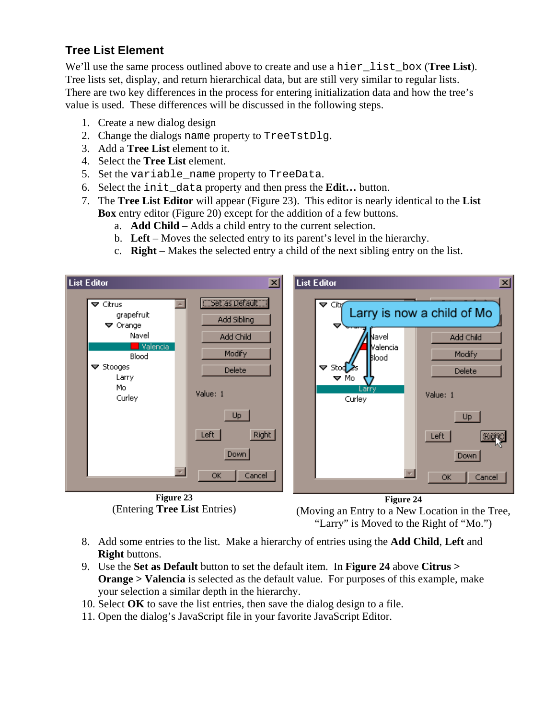#### <span id="page-24-0"></span>**Tree List Element**

We'll use the same process outlined above to create and use a hier\_list\_box (**Tree List**). Tree lists set, display, and return hierarchical data, but are still very similar to regular lists. There are two key differences in the process for entering initialization data and how the tree's value is used. These differences will be discussed in the following steps.

- 1. Create a new dialog design
- 2. Change the dialogs name property to TreeTstDlg.
- 3. Add a **Tree List** element to it.
- 4. Select the **Tree List** element.
- 5. Set the variable\_name property to TreeData.
- 6. Select the init\_data property and then press the **Edit…** button.
- 7. The **Tree List Editor** will appear (Figure 23). This editor is nearly identical to the **List Box** entry editor (Figure 20) except for the addition of a few buttons.
	- a. **Add Child** Adds a child entry to the current selection.
	- b. **Left** Moves the selected entry to its parent's level in the hierarchy.
	- c. **Right** Makes the selected entry a child of the next sibling entry on the list.



(Moving an Entry to a New Location in the Tree, "Larry" is Moved to the Right of "Mo.")

- 8. Add some entries to the list. Make a hierarchy of entries using the **Add Child**, **Left** and **Right** buttons.
- 9. Use the **Set as Default** button to set the default item. In **Figure 24** above **Citrus > Orange > Valencia** is selected as the default value. For purposes of this example, make your selection a similar depth in the hierarchy.
- 10. Select **OK** to save the list entries, then save the dialog design to a file.
- 11. Open the dialog's JavaScript file in your favorite JavaScript Editor.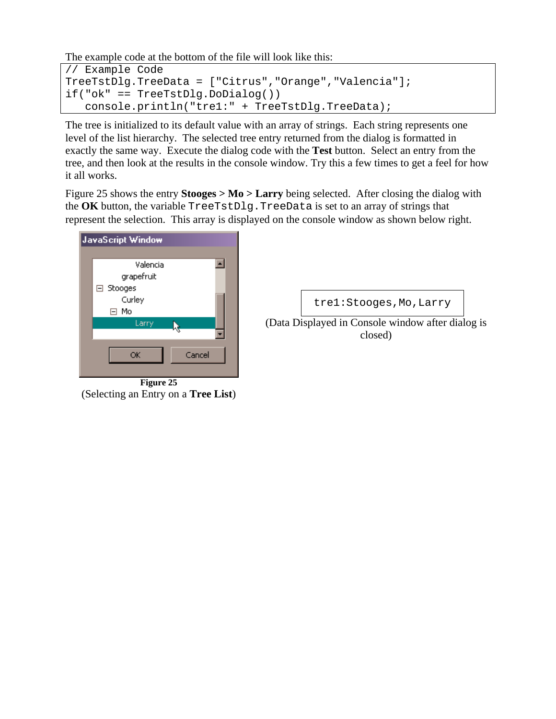The example code at the bottom of the file will look like this:

```
// Example Code 
TreeTstDlg.TreeData = ["Citrus","Orange","Valencia"]; 
if("ok" == TreeTstDlg.DoDialog()) 
    console.println("tre1:" + TreeTstDlg.TreeData);
```
The tree is initialized to its default value with an array of strings. Each string represents one level of the list hierarchy. The selected tree entry returned from the dialog is formatted in exactly the same way. Execute the dialog code with the **Test** button. Select an entry from the tree, and then look at the results in the console window. Try this a few times to get a feel for how it all works.

Figure 25 shows the entry **Stooges > Mo > Larry** being selected. After closing the dialog with the **OK** button, the variable TreeTstDlg.TreeData is set to an array of strings that represent the selection. This array is displayed on the console window as shown below right.



**Figure 25**  (Selecting an Entry on a **Tree List**)

tre1:Stooges,Mo,Larry

(Data Displayed in Console window after dialog is closed)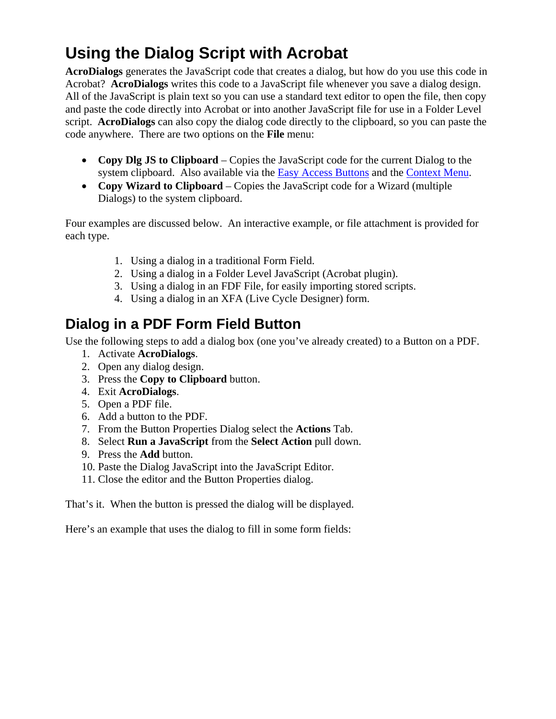# <span id="page-26-0"></span>**Using the Dialog Script with Acrobat**

**AcroDialogs** generates the JavaScript code that creates a dialog, but how do you use this code in Acrobat? **AcroDialogs** writes this code to a JavaScript file whenever you save a dialog design. All of the JavaScript is plain text so you can use a standard text editor to open the file, then copy and paste the code directly into Acrobat or into another JavaScript file for use in a Folder Level script. **AcroDialogs** can also copy the dialog code directly to the clipboard, so you can paste the code anywhere. There are two options on the **File** menu:

- **Copy Dlg JS to Clipboard** Copies the JavaScript code for the current Dialog to the system clipboard. Also available via the **Easy Access Buttons** and the **Context Menu**.
- **Copy Wizard to Clipboard** Copies the JavaScript code for a Wizard (multiple Dialogs) to the system clipboard.

Four examples are discussed below. An interactive example, or file attachment is provided for each type.

- 1. Using a dialog in a traditional Form Field.
- 2. Using a dialog in a Folder Level JavaScript (Acrobat plugin).
- 3. Using a dialog in an FDF File, for easily importing stored scripts.
- 4. Using a dialog in an XFA (Live Cycle Designer) form.

### **Dialog in a PDF Form Field Button**

Use the following steps to add a dialog box (one you've already created) to a Button on a PDF.

- 1. Activate **AcroDialogs**.
- 2. Open any dialog design.
- 3. Press the **Copy to Clipboard** button.
- 4. Exit **AcroDialogs**.
- 5. Open a PDF file.
- 6. Add a button to the PDF.
- 7. From the Button Properties Dialog select the **Actions** Tab.
- 8. Select **Run a JavaScript** from the **Select Action** pull down.
- 9. Press the **Add** button.
- 10. Paste the Dialog JavaScript into the JavaScript Editor.
- 11. Close the editor and the Button Properties dialog.

That's it. When the button is pressed the dialog will be displayed.

Here's an example that uses the dialog to fill in some form fields: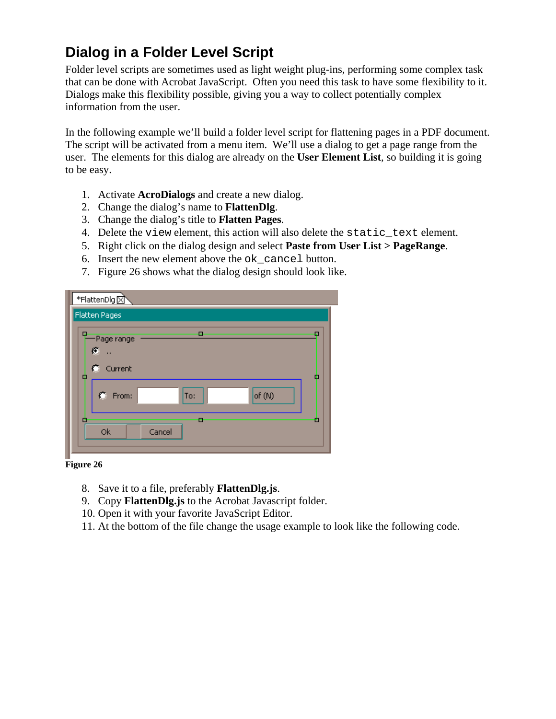#### <span id="page-27-0"></span>**Dialog in a Folder Level Script**

Folder level scripts are sometimes used as light weight plug-ins, performing some complex task that can be done with Acrobat JavaScript. Often you need this task to have some flexibility to it. Dialogs make this flexibility possible, giving you a way to collect potentially complex information from the user.

In the following example we'll build a folder level script for flattening pages in a PDF document. The script will be activated from a menu item. We'll use a dialog to get a page range from the user. The elements for this dialog are already on the **User Element List**, so building it is going to be easy.

- 1. Activate **AcroDialogs** and create a new dialog.
- 2. Change the dialog's name to **FlattenDlg**.
- 3. Change the dialog's title to **Flatten Pages**.
- 4. Delete the view element, this action will also delete the static\_text element.
- 5. Right click on the dialog design and select **Paste from User List > PageRange**.
- 6. Insert the new element above the ok\_cancel button.
- 7. Figure 26 shows what the dialog design should look like.

| *FlattenDlg ⊠                                                            |  |
|--------------------------------------------------------------------------|--|
| Flatten Pages                                                            |  |
| α<br>п<br>п<br>-Page range<br>ø<br>$\bullet$<br>Current<br>□<br><b>I</b> |  |
| C From:<br>of $(N)$<br>To:                                               |  |
| о<br>E<br>п<br><b>Ok</b><br>Cancel                                       |  |

**Figure 26** 

- 8. Save it to a file, preferably **FlattenDlg.js**.
- 9. Copy **FlattenDlg.js** to the Acrobat Javascript folder.
- 10. Open it with your favorite JavaScript Editor.
- 11. At the bottom of the file change the usage example to look like the following code.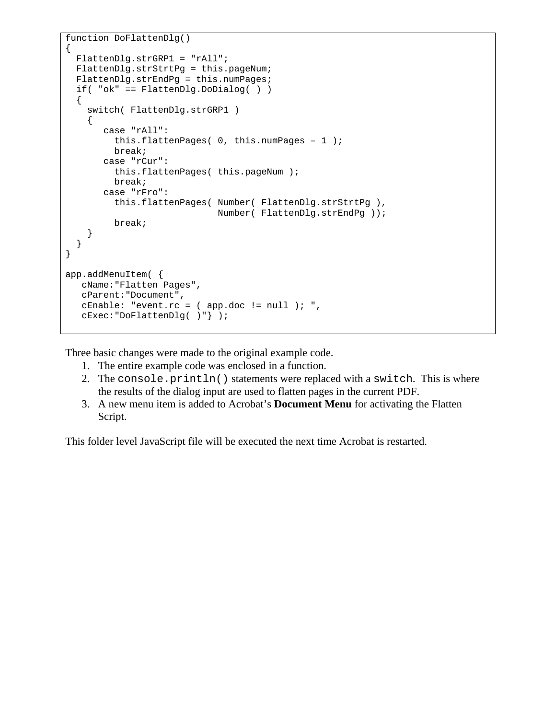```
function DoFlattenDlg() 
{ 
   FlattenDlg.strGRP1 = "rAll"; 
   FlattenDlg.strStrtPg = this.pageNum; 
   FlattenDlg.strEndPg = this.numPages; 
   if( "ok" == FlattenDlg.DoDialog( ) ) 
  \{ switch( FlattenDlg.strGRP1 ) 
    \left\{ \right. case "rAll": 
          this.flattenPages( 0, this.numPages – 1 ); 
          break; 
        case "rCur": 
           this.flattenPages( this.pageNum ); 
           break; 
        case "rFro": 
           this.flattenPages( Number( FlattenDlg.strStrtPg ), 
                                Number( FlattenDlg.strEndPg )); 
           break; 
     } 
   } 
} 
app.addMenuItem( { 
   cName:"Flatten Pages", 
    cParent:"Document", 
    cEnable: "event.rc = ( app.doc != null ); ", 
    cExec:"DoFlattenDlg( )"} );
```
Three basic changes were made to the original example code.

- 1. The entire example code was enclosed in a function.
- 2. The console.println() statements were replaced with a switch. This is where the results of the dialog input are used to flatten pages in the current PDF.
- 3. A new menu item is added to Acrobat's **Document Menu** for activating the Flatten Script.

This folder level JavaScript file will be executed the next time Acrobat is restarted.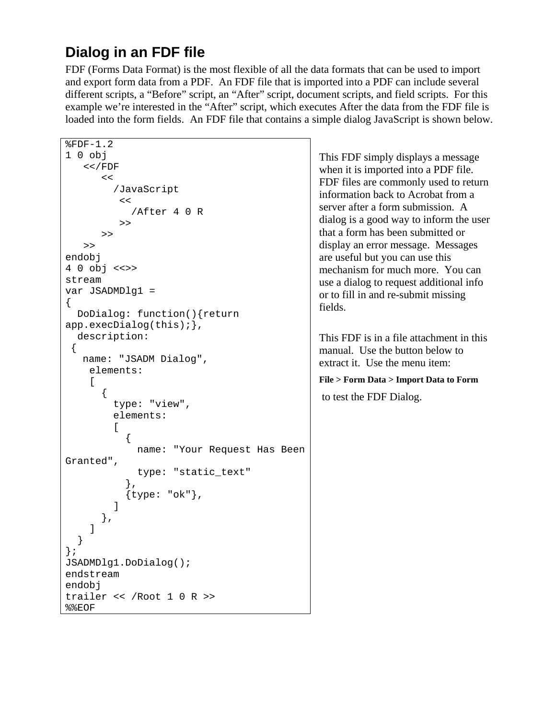### <span id="page-29-0"></span>**Dialog in an FDF file**

FDF (Forms Data Format) is the most flexible of all the data formats that can be used to import and export form data from a PDF. An FDF file that is imported into a PDF can include several different scripts, a "Before" script, an "After" script, document scripts, and field scripts. For this example we're interested in the "After" script, which executes After the data from the FDF file is loaded into the form fields. An FDF file that contains a simple dialog JavaScript is shown below.

```
%FDF-1.2 
1 0 obj 
    <</FDF 
       << /JavaScript 
          << /After 4 0 R 
           >> 
        >> 
    >> 
endobj 
4 0 obj <<>> 
stream 
var JSADMDlg1 = 
\{ DoDialog: function(){return 
app.execDialog(this);}, 
   description: 
 { 
    name: "JSADM Dialog", 
     elements: 
    \lceil\{ type: "view", 
          elements: 
\mathbb{R}^n and \mathbb{R}^n\{ name: "Your Request Has Been 
Granted", 
               type: "static_text" 
             }, 
             {type: "ok"}, 
 ] 
        }, 
     ] 
   } 
}; 
JSADMDlg1.DoDialog(); 
endstream 
endobj 
trailer << /Root 1 0 R >>
%%EOF
```
This FDF simply displays a message when it is imported into a PDF file. FDF files are commonly used to return information back to Acrobat from a server after a form submission. A dialog is a good way to inform the user that a form has been submitted or display an error message. Messages are useful but you can use this mechanism for much more. You can use a dialog to request additional info or to fill in and re-submit missing fields.

This FDF is in a file attachment in this manual. Use the button below to extract it. Use the menu item:

#### **File > Form Data > Import Data to Form**  to test the FDF Dialog.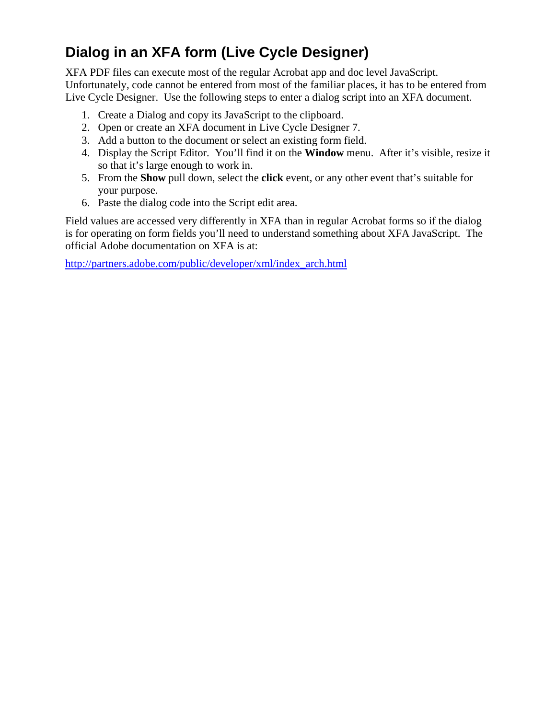### <span id="page-30-0"></span>**Dialog in an XFA form (Live Cycle Designer)**

XFA PDF files can execute most of the regular Acrobat app and doc level JavaScript. Unfortunately, code cannot be entered from most of the familiar places, it has to be entered from Live Cycle Designer. Use the following steps to enter a dialog script into an XFA document.

- 1. Create a Dialog and copy its JavaScript to the clipboard.
- 2. Open or create an XFA document in Live Cycle Designer 7.
- 3. Add a button to the document or select an existing form field.
- 4. Display the Script Editor. You'll find it on the **Window** menu. After it's visible, resize it so that it's large enough to work in.
- 5. From the **Show** pull down, select the **click** event, or any other event that's suitable for your purpose.
- 6. Paste the dialog code into the Script edit area.

Field values are accessed very differently in XFA than in regular Acrobat forms so if the dialog is for operating on form fields you'll need to understand something about XFA JavaScript. The official Adobe documentation on XFA is at:

[http://partners.adobe.com/public/developer/xml/index\\_arch.html](http://partners.adobe.com/public/developer/xml/index_arch.html)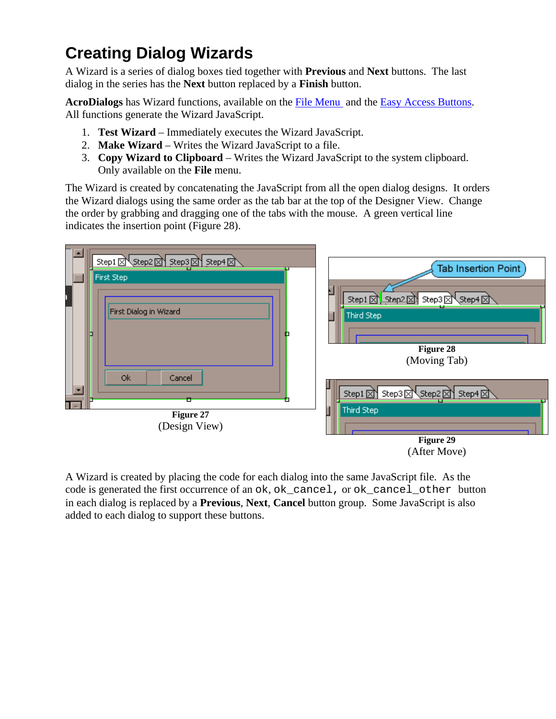# <span id="page-31-0"></span>**Creating Dialog Wizards**

A Wizard is a series of dialog boxes tied together with **Previous** and **Next** buttons. The last dialog in the series has the **Next** button replaced by a **Finish** button.

**AcroDialogs** has Wizard functions, available on the [File Menu](#page-6-0) and the [Easy Access Buttons.](#page-7-0) All functions generate the Wizard JavaScript.

- 1. **Test Wizard** Immediately executes the Wizard JavaScript.
- 2. **Make Wizard** Writes the Wizard JavaScript to a file.
- 3. **Copy Wizard to Clipboard** Writes the Wizard JavaScript to the system clipboard. Only available on the **File** menu.

The Wizard is created by concatenating the JavaScript from all the open dialog designs. It orders the Wizard dialogs using the same order as the tab bar at the top of the Designer View. Change the order by grabbing and dragging one of the tabs with the mouse. A green vertical line indicates the insertion point (Figure 28).



A Wizard is created by placing the code for each dialog into the same JavaScript file. As the code is generated the first occurrence of an ok, ok\_cancel, or ok\_cancel\_other button in each dialog is replaced by a **Previous**, **Next**, **Cancel** button group. Some JavaScript is also added to each dialog to support these buttons.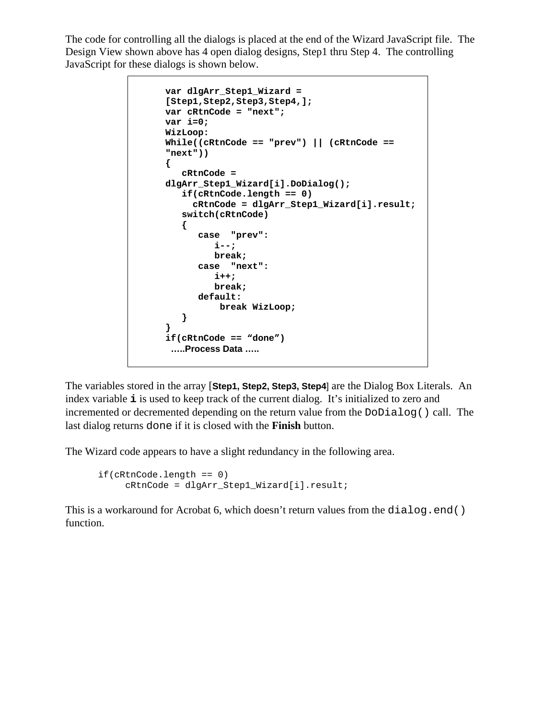The code for controlling all the dialogs is placed at the end of the Wizard JavaScript file. The Design View shown above has 4 open dialog designs, Step1 thru Step 4. The controlling JavaScript for these dialogs is shown below.

```
var dlgArr_Step1_Wizard = 
[Step1,Step2,Step3,Step4,]; 
var cRtnCode = "next"; 
var i=0; 
WizLoop: 
While((cRtnCode == "prev") || (cRtnCode == 
"next")) 
{ 
    cRtnCode = 
dlgArr_Step1_Wizard[i].DoDialog(); 
   if(cRtnCode.length == 0) 
      cRtnCode = dlgArr_Step1_Wizard[i].result; 
    switch(cRtnCode) 
    { 
       case "prev": 
          i--; 
          break; 
       case "next": 
          i++; 
          break; 
       default: 
           break WizLoop; 
    } 
} 
if(cRtnCode == "done") 
 …..Process Data …..
```
The variables stored in the array [**Step1, Step2, Step3, Step4**] are the Dialog Box Literals. An index variable **i** is used to keep track of the current dialog. It's initialized to zero and incremented or decremented depending on the return value from the DoDialog() call. The last dialog returns done if it is closed with the **Finish** button.

The Wizard code appears to have a slight redundancy in the following area.

```
if(cRtnCode.length == 0) 
      cRtnCode = dlgArr_Step1_Wizard[i].result;
```
This is a workaround for Acrobat 6, which doesn't return values from the  $dialog$ .end() function.